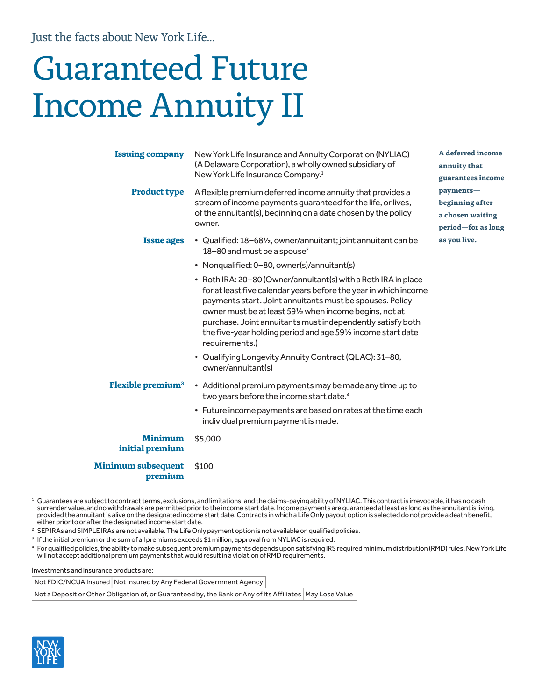Just the facts about New York Life...

# Guaranteed Future Income Annuity II

| <b>Issuing company</b>               | New York Life Insurance and Annuity Corporation (NYLIAC)<br>(A Delaware Corporation), a wholly owned subsidiary of<br>New York Life Insurance Company. <sup>1</sup>                                                                                                                                                                                                                                                                                                                                                | A deferred income<br>annuity that<br>guarantees income                 |
|--------------------------------------|--------------------------------------------------------------------------------------------------------------------------------------------------------------------------------------------------------------------------------------------------------------------------------------------------------------------------------------------------------------------------------------------------------------------------------------------------------------------------------------------------------------------|------------------------------------------------------------------------|
| <b>Product type</b>                  | A flexible premium deferred income annuity that provides a<br>stream of income payments quaranteed for the life, or lives,<br>of the annuitant(s), beginning on a date chosen by the policy<br>owner.                                                                                                                                                                                                                                                                                                              | payments-<br>beginning after<br>a chosen waiting<br>period-for as long |
| <b>Issue ages</b>                    | • Qualified: 18-681/ <sub>2</sub> , owner/annuitant; joint annuitant can be<br>18-80 and must be a spouse <sup>2</sup>                                                                                                                                                                                                                                                                                                                                                                                             | as you live.                                                           |
|                                      | • Nonqualified: 0-80, owner(s)/annuitant(s)<br>• Roth IRA: 20-80 (Owner/annuitant(s) with a Roth IRA in place<br>for at least five calendar years before the year in which income<br>payments start. Joint annuitants must be spouses. Policy<br>owner must be at least 591/2 when income begins, not at<br>purchase. Joint annuitants must independently satisfy both<br>the five-year holding period and age 591/2 income start date<br>requirements.)<br>• Qualifying Longevity Annuity Contract (QLAC): 31-80, |                                                                        |
| Flexible premium <sup>3</sup>        | owner/annuitant(s)<br>• Additional premium payments may be made any time up to<br>two years before the income start date. <sup>4</sup><br>• Future income payments are based on rates at the time each<br>individual premium payment is made.                                                                                                                                                                                                                                                                      |                                                                        |
| <b>Minimum</b><br>initial premium    | \$5,000                                                                                                                                                                                                                                                                                                                                                                                                                                                                                                            |                                                                        |
| <b>Minimum subsequent</b><br>premium | \$100                                                                                                                                                                                                                                                                                                                                                                                                                                                                                                              |                                                                        |

 $^{\rm 1}$  Guarantees are subject to contract terms, exclusions, and limitations, and the claims-paying ability of NYLIAC. This contract is irrevocable, it has no cash surrender value, and no withdrawals are permitted prior to the income start date. Income payments are guaranteed at least as long as the annuitant is living, provided the annuitant is alive on the designated income start date. Contracts in which a Life Only payout option is selected do not provide a death benefit, either prior to or after the designated income start date.

- <sup>2</sup> SEP IRAs and SIMPLE IRAs are not available. The Life Only payment option is not available on qualified policies.
- <sup>3</sup> If the initial premium or the sum of all premiums exceeds \$1 million, approval from NYLIAC is required.
- <sup>4</sup> For qualified policies, the ability to make subsequent premium payments depends upon satisfying IRS required minimum distribution (RMD) rules. New York Life will not accept additional premium payments that would result in a violation of RMD requirements.

Investments and insurance products are:

Not FDIC/NCUA Insured | Not Insured by Any Federal Government Agency

Not a Deposit or Other Obligation of, or Guaranteed by, the Bank or Any of Its Affiliates | May Lose Value

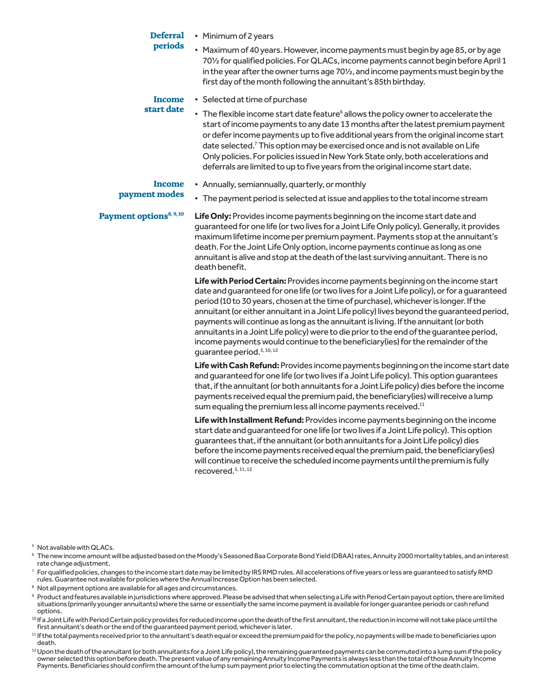| Defer |  |
|-------|--|
|-------|--|

# • Minimum of 2 years

### **periods** • Maximum of 40 years. However, income payments must begin by age 85, or by age 70½ for qualified policies. For QLACs, income payments cannot begin before April 1 in the year after the owner turns age 701/2, and income payments must begin by the first day of the month following the annuitant's 85th birthday.

# **Income start date**

- Selected at time of purchase
- The flexible income start date feature<sup>6</sup> allows the policy owner to accelerate the start of income payments to any date 13 months after the latest premium payment or defer income payments up to five additional years from the original income start date selected.<sup>7</sup> This option may be exercised once and is not available on Life Only policies. For policies issued in New York State only, both accelerations and deferrals are limited to up to five years from the original income start date.

# **Income payment modes**

# • Annually, semiannually, quarterly, or monthly

• The payment period is selected at issue and applies to the total income stream

**Payment options<sup>8, 9, 10</sup> Life Only:** Provides income payments beginning on the income start date and guaranteed for one life (or two lives for a Joint Life Only policy). Generally, it provides maximum lifetime income per premium payment. Payments stop at the annuitant's death. For the Joint Life Only option, income payments continue as long as one annuitant is alive and stop at the death of the last surviving annuitant. There is no death benefit.

> **Life with Period Certain:** Provides income payments beginning on the income start date and guaranteed for one life (or two lives for a Joint Life policy), or for a guaranteed period (10 to 30 years, chosen at the time of purchase), whichever is longer. If the annuitant (or either annuitant in a Joint Life policy) lives beyond the guaranteed period, payments will continue as long as the annuitant is living. If the annuitant (or both annuitants in a Joint Life policy) were to die prior to the end of the guarantee period, income payments would continue to the beneficiary(ies) for the remainder of the guarantee period.<sup>5, 10, 12</sup>

> **Life with Cash Refund:** Provides income payments beginning on the income start date and guaranteed for one life (or two lives if a Joint Life policy). This option guarantees that, if the annuitant (or both annuitants for a Joint Life policy) dies before the income payments received equal the premium paid, the beneficiary(ies) will receive a lump sum equaling the premium less all income payments received.<sup>11</sup>

**Life with Installment Refund:** Provides income payments beginning on the income start date and guaranteed for one life (or two lives if a Joint Life policy). This option guarantees that, if the annuitant (or both annuitants for a Joint Life policy) dies before the income payments received equal the premium paid, the beneficiary(ies) will continue to receive the scheduled income payments until the premium is fully recovered.<sup>5, 11, 12</sup>

<sup>5</sup> Not available with QLACs.

- <sup>8</sup> Not all payment options are available for all ages and circumstances.
- 9 Product and features available in jurisdictions where approved. Please be advised that when selecting a Life with Period Certain payout option, there are limited situations (primarily younger annuitants) where the same or essentially the same income payment is available for longer guarantee periods or cash refund options.
- $^{\rm 10}$  If a Joint Life with Period Certain policy provides for reduced income upon the death of the first annuitant, the reduction in income will not take place until the first annuitant's death or the end of the guaranteed payment period, whichever is later.
- <sup>11</sup> If the total payments received prior to the annuitant's death equal or exceed the premium paid for the policy, no payments will be made to beneficiaries upon death.
- $^{12}$  Upon the death of the annuitant (or both annuitants for a Joint Life policy), the remaining guaranteed payments can be commuted into a lump sum if the policy owner selected this option before death. The present value of any remaining Annuity Income Payments is always less than the total of those Annuity Income Payments. Beneficiaries should confirm the amount of the lump sum payment prior to electing the commutation option at the time of the death claim.

<sup>6</sup> The new income amount will be adjusted based on the Moody's Seasoned Baa Corporate Bond Yield (DBAA) rates, Annuity 2000 mortality tables, and an interest rate change adjustment.

 $^7\,$  For qualified policies, changes to the income start date may be limited by IRS RMD rules. All accelerations of five years or less are guaranteed to satisfy RMD rules. Guarantee not available for policies where the Annual Increase Option has been selected.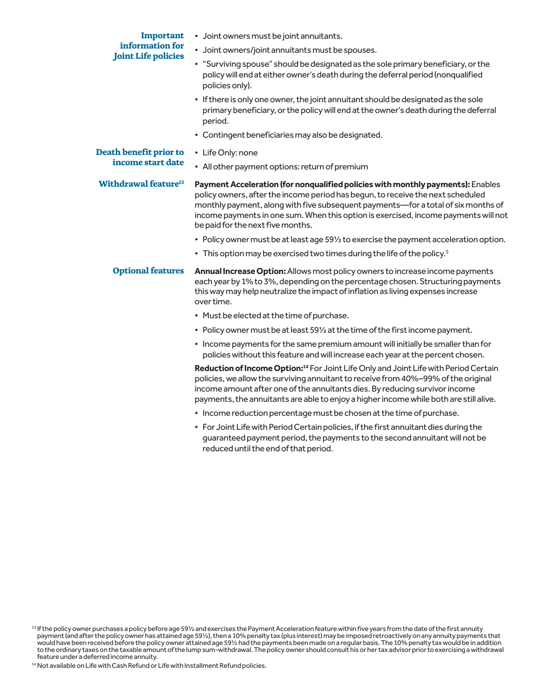# **Important information for Joint Life policies**

- Joint owners must be joint annuitants.
- Joint owners/joint annuitants must be spouses.
- "Surviving spouse" should be designated as the sole primary beneficiary, or the policy will end at either owner's death during the deferral period (nonqualified policies only).
- If there is only one owner, the joint annuitant should be designated as the sole primary beneficiary, or the policy will end at the owner's death during the deferral period.
- Contingent beneficiaries may also be designated.

# **Death benefit prior to income start date**

- Life Only: none
- All other payment options: return of premium

**Withdrawal feature13 Payment Acceleration (for nonqualified policies with monthly payments):** Enables policy owners, after the income period has begun, to receive the next scheduled monthly payment, along with five subsequent payments—for a total of six months of income payments in one sum. When this option is exercised, income payments will not be paid for the next five months.

- Policy owner must be at least age 59½ to exercise the payment acceleration option.
- This option may be exercised two times during the life of the policy.<sup>5</sup>

# **Optional features Annual Increase Option:** Allows most policy owners to increase income payments each year by 1% to 3%, depending on the percentage chosen. Structuring payments this way may help neutralize the impact of inflation as living expenses increase over time.

- Must be elected at the time of purchase.
- Policy owner must be at least 59½ at the time of the first income payment.
- Income payments for the same premium amount will initially be smaller than for policies without this feature and will increase each year at the percent chosen.

**Reduction of Income Option:14** For Joint Life Only and Joint Life with Period Certain policies, we allow the surviving annuitant to receive from 40%–99% of the original income amount after one of the annuitants dies. By reducing survivor income payments, the annuitants are able to enjoy a higher income while both are still alive.

- Income reduction percentage must be chosen at the time of purchase.
- For Joint Life with Period Certain policies, if the first annuitant dies during the guaranteed payment period, the payments to the second annuitant will not be reduced until the end of that period.

 $^{13}$  If the policy owner purchases a policy before age 59½ and exercises the Payment Acceleration feature within five years from the date of the first annuity payment (and after the policy owner has attained age 59½), then a 10% penalty tax (plus interest) may be imposed retroactively on any annuity payments that would have been received before the policy owner attained age 59½ had the payments been made on a regular basis. The 10% penalty tax would be in addition to the ordinary taxes on the taxable amount of the lump sum-withdrawal. The policy owner should consult his or her tax advisor prior to exercising a withdrawal feature under a deferred income annuity.

<sup>&</sup>lt;sup>14</sup> Not available on Life with Cash Refund or Life with Installment Refund policies.